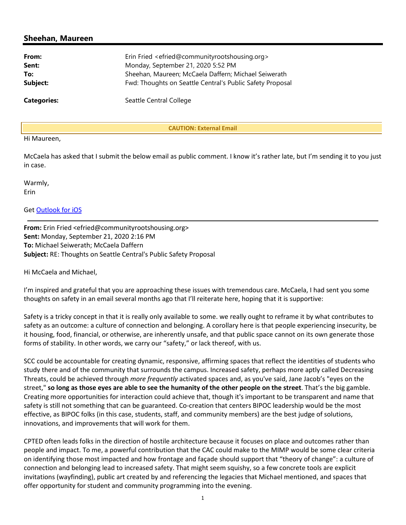# Sheehan, Maureen

| From:              | Erin Fried <efried@communityrootshousing.org></efried@communityrootshousing.org> |  |
|--------------------|----------------------------------------------------------------------------------|--|
| Sent:              | Monday, September 21, 2020 5:52 PM                                               |  |
| To:                | Sheehan, Maureen; McCaela Daffern; Michael Seiwerath                             |  |
| Subject:           | Fwd: Thoughts on Seattle Central's Public Safety Proposal                        |  |
| <b>Categories:</b> | Seattle Central College                                                          |  |

CAUTION: External Email

## Hi Maureen,

McCaela has asked that I submit the below email as public comment. I know it's rather late, but I'm sending it to you just in case.

Warmly, Erin

## Get Outlook for iOS

From: Erin Fried <efried@communityrootshousing.org> Sent: Monday, September 21, 2020 2:16 PM To: Michael Seiwerath; McCaela Daffern Subject: RE: Thoughts on Seattle Central's Public Safety Proposal

Hi McCaela and Michael,

I'm inspired and grateful that you are approaching these issues with tremendous care. McCaela, I had sent you some thoughts on safety in an email several months ago that I'll reiterate here, hoping that it is supportive:

Safety is a tricky concept in that it is really only available to some. we really ought to reframe it by what contributes to safety as an outcome: a culture of connection and belonging. A corollary here is that people experiencing insecurity, be it housing, food, financial, or otherwise, are inherently unsafe, and that public space cannot on its own generate those forms of stability. In other words, we carry our "safety," or lack thereof, with us.

SCC could be accountable for creating dynamic, responsive, affirming spaces that reflect the identities of students who study there and of the community that surrounds the campus. Increased safety, perhaps more aptly called Decreasing Threats, could be achieved through more frequently activated spaces and, as you've said, Jane Jacob's "eyes on the street," so long as those eyes are able to see the humanity of the other people on the street. That's the big gamble. Creating more opportunities for interaction could achieve that, though it's important to be transparent and name that safety is still not something that can be guaranteed. Co-creation that centers BIPOC leadership would be the most effective, as BIPOC folks (in this case, students, staff, and community members) are the best judge of solutions, innovations, and improvements that will work for them.

CPTED often leads folks in the direction of hostile architecture because it focuses on place and outcomes rather than people and impact. To me, a powerful contribution that the CAC could make to the MIMP would be some clear criteria on identifying those most impacted and how frontage and façade should support that "theory of change": a culture of connection and belonging lead to increased safety. That might seem squishy, so a few concrete tools are explicit invitations (wayfinding), public art created by and referencing the legacies that Michael mentioned, and spaces that offer opportunity for student and community programming into the evening.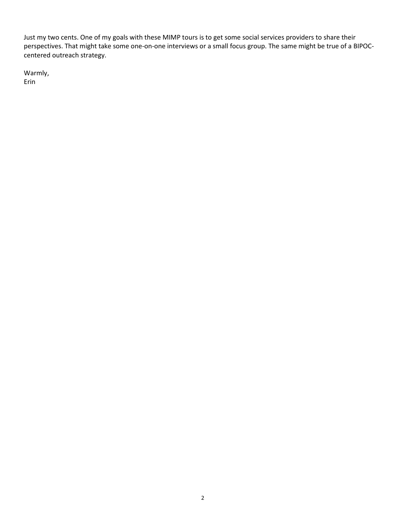Just my two cents. One of my goals with these MIMP tours is to get some social services providers to share their perspectives. That might take some one-on-one interviews or a small focus group. The same might be true of a BIPOCcentered outreach strategy.

Warmly, Erin